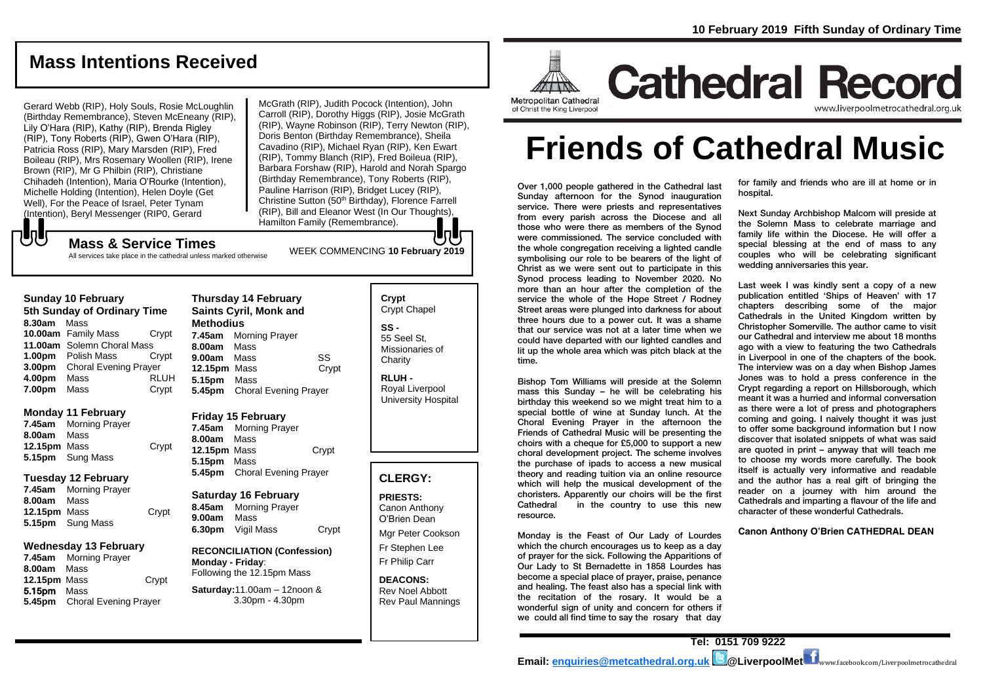# **Mass Intentions Received**

Gerard Webb (RIP), Holy Souls, Rosie McLoughlin (Birthday Remembrance), Steven McEneany (RIP), Lily O'Hara (RIP), Kathy (RIP), Brenda Rigley (RIP), Tony Roberts (RIP), Gwen O'Hara (RIP), Patricia Ross (RIP), Mary Marsden (RIP), Fred Boileau (RIP), Mrs Rosemary Woollen (RIP), Irene Brown (RIP), Mr G Philbin (RIP), Christiane Chihadeh (Intention), Maria O'Rourke (Intention), Michelle Holding (Intention), Helen Doyle (Get Well), For the Peace of Israel, Peter Tynam (Intention), Beryl Messenger (RIP0, Gerard

McGrath (RIP), Judith Pocock (Intention), John Carroll (RIP), Dorothy Higgs (RIP), Josie McGrath (RIP), Wayne Robinson (RIP), Terry Newton (RIP), Doris Benton (Birthday Remembrance), Sheila Cavadino (RIP), Michael Ryan (RIP), Ken Ewart (RIP), Tommy Blanch (RIP), Fred Boileua (RIP), Barbara Forshaw (RIP), Harold and Norah Spargo (Birthday Remembrance), Tony Roberts (RIP), Pauline Harrison (RIP), Bridget Lucey (RIP), Christine Sutton (50<sup>th</sup> Birthday), Florence Farrell (RIP), Bill and Eleanor West (In Our Thoughts), Hamilton Family (Remembrance).

# もし

WEEK COMMENCING **<sup>10</sup> February <sup>2019</sup> Mass & Service Times** All services take place in the cathedral unless marked otherwise

#### **Sunday 10 February 5th Sunday of Ordinary Time 8.30am** Mass **10.00am** Family Mass Crypt **11.00am** Solemn Choral Mass **1.00pm** Polish Mass Crypt **3.00pm** Choral Evening Prayer **4.00pm** Mass RLUH **7.00pm** Mass Crypt

#### **Monday 11 February**

**7.45am** Morning Prayer **8.00am** Mass **12.15pm** Mass Crypt **5.15pm** Sung Mass

#### **Tuesday 12 February**

**7.45am** Morning Prayer **8.00am** Mass **12.15pm** Mass Crypt **5.15pm** Sung Mass

#### **Wednesday 13 February**

**7.45am** Morning Prayer **8.00am** Mass **12.15pm** Mass Crypt 5.15pm Mass **5.45pm** Choral Evening Prayer

#### **Thursday 14 February Saints Cyril, Monk and Methodius 7.45am** Morning Prayer **8.00am** Mass **9.00am** Mass SS 12.15pm Mass **Crypt 5.15pm** Mass **5.45pm** Choral Evening Prayer

**Friday 15 February 7.45am** Morning Prayer **8.00am** Mass

**12.15pm** Mass Crypt **5.15pm** Mass **5.45pm** Choral Evening Prayer

**Saturday 16 February 8.45am** Morning Prayer **9.00am** Mass **6.30pm** Vigil Mass Crypt

**RECONCILIATION (Confession) Monday - Friday**: Following the 12.15pm Mass

#### **Saturday:**11.00am – 12noon & 3.30pm - 4.30pm

**Crypt**  Crypt Chapel **SS -** 55 Seel St, Missionaries of **Charity** 

**RLUH -** Royal Liverpool University Hospital

# **CLERGY:**

**PRIESTS:** Canon Anthony O'Brien *Dean*

Mgr Peter Cookson Fr Stephen Lee Fr Philip Carr

**DEACONS:** Rev Noel Abbott Rev Paul Mannings



**Cathedral Record** www.liverpoolmetrocathedral.o

# **Friends of Cathedral Music**

Over 1,000 people gathered in the Cathedral last Sunday afternoon for the Synod inauguration service. There were priests and representatives from every parish across the Diocese and all those who were there as members of the Synod were commissioned. The service concluded with the whole congregation receiving a lighted candle symbolising our role to be bearers of the light of Christ as we were sent out to participate in this Synod process leading to November 2020. No more than an hour after the completion of the service the whole of the Hope Street / Rodney Street areas were plunged into darkness for about three hours due to a power cut. It was a shame that our service was not at a later time when we could have departed with our lighted candles and lit up the whole area which was pitch black at the time.

Bishop Tom Williams will preside at the Solemn mass this Sunday – he will be celebrating his birthday this weekend so we might treat him to a special bottle of wine at Sunday lunch. At the Choral Evening Prayer in the afternoon the Friends of Cathedral Music will be presenting the choirs with a cheque for £5,000 to support a new choral development project. The scheme involves the purchase of ipads to access a new musical theory and reading tuition via an online resource which will help the musical development of the choristers. Apparently our choirs will be the first Cathedral in the country to use this new resource.

Monday is the Feast of Our Lady of Lourdes which the church encourages us to keep as a day of prayer for the sick. Following the Apparitions of Our Lady to St Bernadette in 1858 Lourdes has become a special place of prayer, praise, penance and healing. The feast also has a special link with the recitation of the rosary. It would be a wonderful sign of unity and concern for others if we could all find time to say the rosary that day

for family and friends who are ill at home or in hospital.

Next Sunday Archbishop Malcom will preside at the Solemn Mass to celebrate marriage and family life within the Diocese. He will offer a special blessing at the end of mass to any couples who will be celebrating significant wedding anniversaries this year.

Last week I was kindly sent a copy of a new publication entitled 'Ships of Heaven' with 17 chapters describing some of the major Cathedrals in the United Kingdom written by Christopher Somerville. The author came to visit our Cathedral and interview me about 18 months ago with a view to featuring the two Cathedrals in Liverpool in one of the chapters of the book. The interview was on a day when Bishop James Jones was to hold a press conference in the Crypt regarding a report on Hillsborough, which meant it was a hurried and informal conversation as there were a lot of press and photographers coming and going. I naively thought it was just to offer some background information but I now discover that isolated snippets of what was said are quoted in print – anyway that will teach me to choose my words more carefully. The book itself is actually very informative and readable and the author has a real gift of bringing the reader on a journey with him around the Cathedrals and imparting a flavour of the life and character of these wonderful Cathedrals.

**Canon Anthony O'Brien CATHEDRAL DEAN**